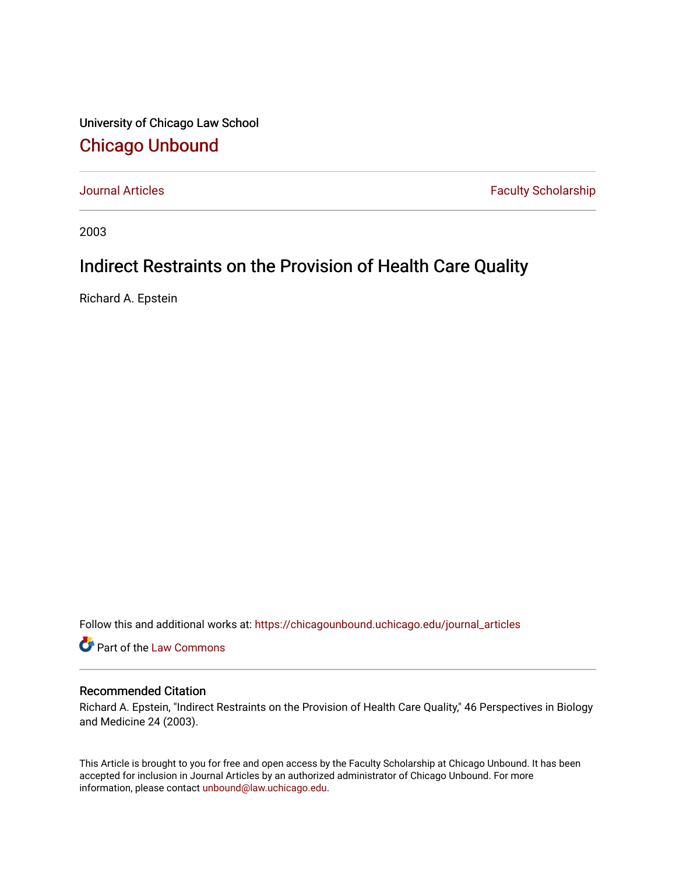University of Chicago Law School [Chicago Unbound](https://chicagounbound.uchicago.edu/)

[Journal Articles](https://chicagounbound.uchicago.edu/journal_articles) **Faculty Scholarship Faculty Scholarship** 

2003

# Indirect Restraints on the Provision of Health Care Quality

Richard A. Epstein

Follow this and additional works at: [https://chicagounbound.uchicago.edu/journal\\_articles](https://chicagounbound.uchicago.edu/journal_articles?utm_source=chicagounbound.uchicago.edu%2Fjournal_articles%2F299&utm_medium=PDF&utm_campaign=PDFCoverPages) 

Part of the [Law Commons](http://network.bepress.com/hgg/discipline/578?utm_source=chicagounbound.uchicago.edu%2Fjournal_articles%2F299&utm_medium=PDF&utm_campaign=PDFCoverPages)

# Recommended Citation

Richard A. Epstein, "Indirect Restraints on the Provision of Health Care Quality," 46 Perspectives in Biology and Medicine 24 (2003).

This Article is brought to you for free and open access by the Faculty Scholarship at Chicago Unbound. It has been accepted for inclusion in Journal Articles by an authorized administrator of Chicago Unbound. For more information, please contact [unbound@law.uchicago.edu](mailto:unbound@law.uchicago.edu).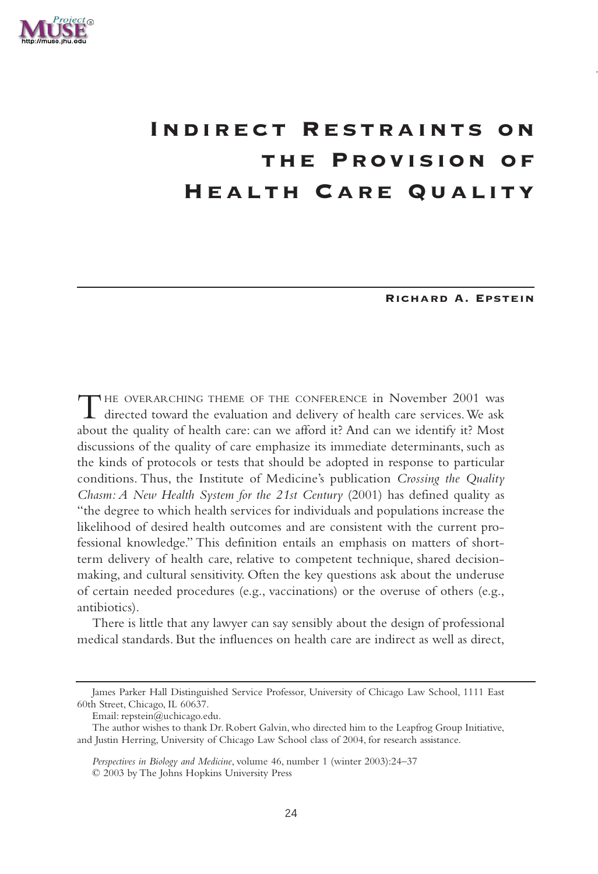

# Indirect Restraints on the Provision of Health Care Quality

Richard A. Epstein

THE OVERARCHING THEME OF THE CONFERENCE in November 2001 was<br>directed toward the evaluation and delivery of health care services. We ask about the quality of health care: can we afford it? And can we identify it? Most discussions of the quality of care emphasize its immediate determinants, such as the kinds of protocols or tests that should be adopted in response to particular conditions. Thus, the Institute of Medicine's publication *Crossing the Quality Chasm: A New Health System for the 21st Century* (2001) has defined quality as "the degree to which health services for individuals and populations increase the likelihood of desired health outcomes and are consistent with the current professional knowledge." This definition entails an emphasis on matters of shortterm delivery of health care, relative to competent technique, shared decisionmaking, and cultural sensitivity. Often the key questions ask about the underuse of certain needed procedures (e.g., vaccinations) or the overuse of others (e.g., antibiotics).

There is little that any lawyer can say sensibly about the design of professional medical standards. But the influences on health care are indirect as well as direct,

James Parker Hall Distinguished Service Professor, University of Chicago Law School, 1111 East 60th Street, Chicago, IL 60637.

Email: repstein@uchicago.edu.

The author wishes to thank Dr. Robert Galvin, who directed him to the Leapfrog Group Initiative, and Justin Herring, University of Chicago Law School class of 2004, for research assistance.

*Perspectives in Biology and Medicine*, volume 46, number 1 (winter 2003):24–37 © 2003 by The Johns Hopkins University Press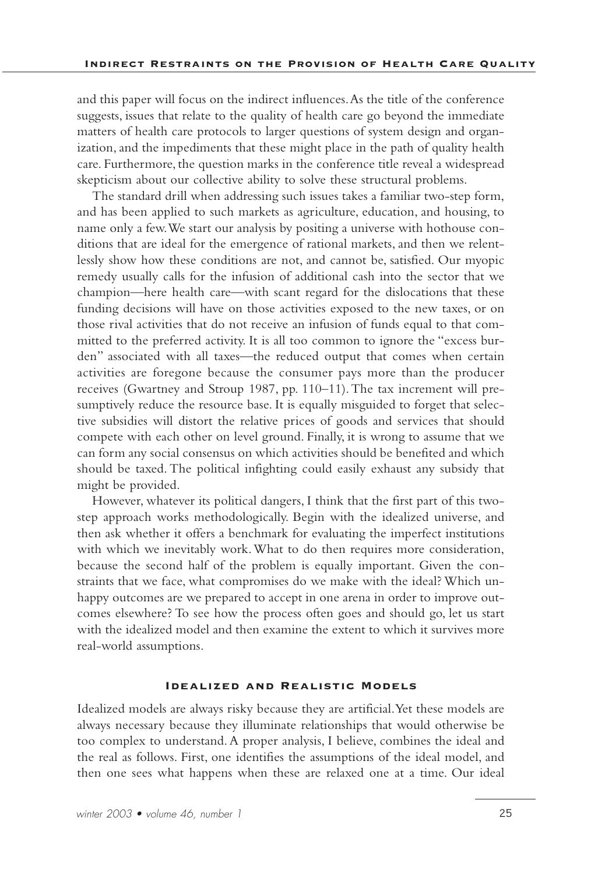and this paper will focus on the indirect influences.As the title of the conference suggests, issues that relate to the quality of health care go beyond the immediate matters of health care protocols to larger questions of system design and organization, and the impediments that these might place in the path of quality health care. Furthermore, the question marks in the conference title reveal a widespread skepticism about our collective ability to solve these structural problems.

The standard drill when addressing such issues takes a familiar two-step form, and has been applied to such markets as agriculture, education, and housing, to name only a few.We start our analysis by positing a universe with hothouse conditions that are ideal for the emergence of rational markets, and then we relentlessly show how these conditions are not, and cannot be, satisfied. Our myopic remedy usually calls for the infusion of additional cash into the sector that we champion—here health care—with scant regard for the dislocations that these funding decisions will have on those activities exposed to the new taxes, or on those rival activities that do not receive an infusion of funds equal to that committed to the preferred activity. It is all too common to ignore the "excess burden" associated with all taxes—the reduced output that comes when certain activities are foregone because the consumer pays more than the producer receives (Gwartney and Stroup 1987, pp. 110–11).The tax increment will presumptively reduce the resource base. It is equally misguided to forget that selective subsidies will distort the relative prices of goods and services that should compete with each other on level ground. Finally, it is wrong to assume that we can form any social consensus on which activities should be benefited and which should be taxed. The political infighting could easily exhaust any subsidy that might be provided.

However, whatever its political dangers, I think that the first part of this twostep approach works methodologically. Begin with the idealized universe, and then ask whether it offers a benchmark for evaluating the imperfect institutions with which we inevitably work.What to do then requires more consideration, because the second half of the problem is equally important. Given the constraints that we face, what compromises do we make with the ideal? Which unhappy outcomes are we prepared to accept in one arena in order to improve outcomes elsewhere? To see how the process often goes and should go, let us start with the idealized model and then examine the extent to which it survives more real-world assumptions.

#### Idealized and Realistic Models

Idealized models are always risky because they are artificial.Yet these models are always necessary because they illuminate relationships that would otherwise be too complex to understand. A proper analysis, I believe, combines the ideal and the real as follows. First, one identifies the assumptions of the ideal model, and then one sees what happens when these are relaxed one at a time. Our ideal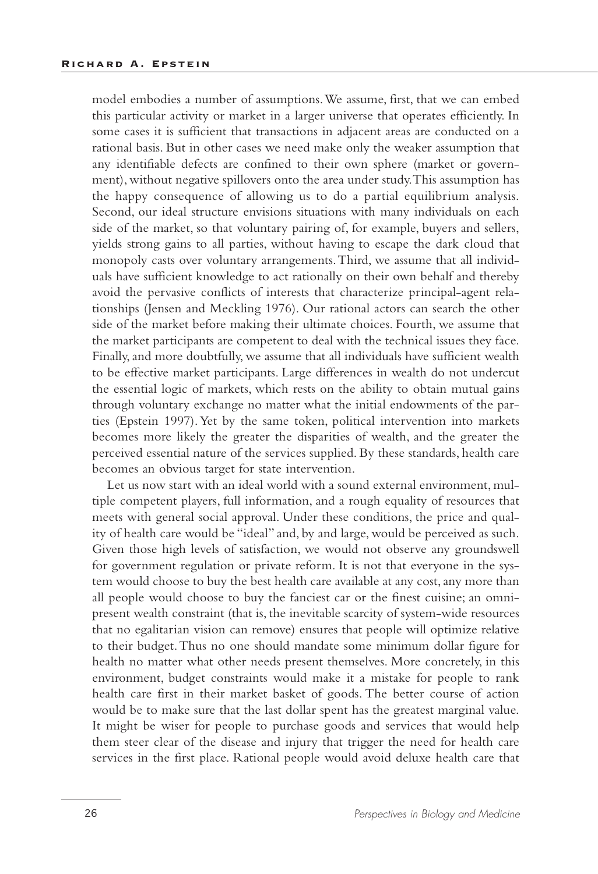model embodies a number of assumptions.We assume, first, that we can embed this particular activity or market in a larger universe that operates efficiently. In some cases it is sufficient that transactions in adjacent areas are conducted on a rational basis. But in other cases we need make only the weaker assumption that any identifiable defects are confined to their own sphere (market or government), without negative spillovers onto the area under study.This assumption has the happy consequence of allowing us to do a partial equilibrium analysis. Second, our ideal structure envisions situations with many individuals on each side of the market, so that voluntary pairing of, for example, buyers and sellers, yields strong gains to all parties, without having to escape the dark cloud that monopoly casts over voluntary arrangements.Third, we assume that all individuals have sufficient knowledge to act rationally on their own behalf and thereby avoid the pervasive conflicts of interests that characterize principal-agent relationships (Jensen and Meckling 1976). Our rational actors can search the other side of the market before making their ultimate choices. Fourth, we assume that the market participants are competent to deal with the technical issues they face. Finally, and more doubtfully, we assume that all individuals have sufficient wealth to be effective market participants. Large differences in wealth do not undercut the essential logic of markets, which rests on the ability to obtain mutual gains through voluntary exchange no matter what the initial endowments of the parties (Epstein 1997). Yet by the same token, political intervention into markets becomes more likely the greater the disparities of wealth, and the greater the perceived essential nature of the services supplied. By these standards, health care becomes an obvious target for state intervention.

Let us now start with an ideal world with a sound external environment, multiple competent players, full information, and a rough equality of resources that meets with general social approval. Under these conditions, the price and quality of health care would be "ideal" and, by and large, would be perceived as such. Given those high levels of satisfaction, we would not observe any groundswell for government regulation or private reform. It is not that everyone in the system would choose to buy the best health care available at any cost, any more than all people would choose to buy the fanciest car or the finest cuisine; an omnipresent wealth constraint (that is, the inevitable scarcity of system-wide resources that no egalitarian vision can remove) ensures that people will optimize relative to their budget.Thus no one should mandate some minimum dollar figure for health no matter what other needs present themselves. More concretely, in this environment, budget constraints would make it a mistake for people to rank health care first in their market basket of goods. The better course of action would be to make sure that the last dollar spent has the greatest marginal value. It might be wiser for people to purchase goods and services that would help them steer clear of the disease and injury that trigger the need for health care services in the first place. Rational people would avoid deluxe health care that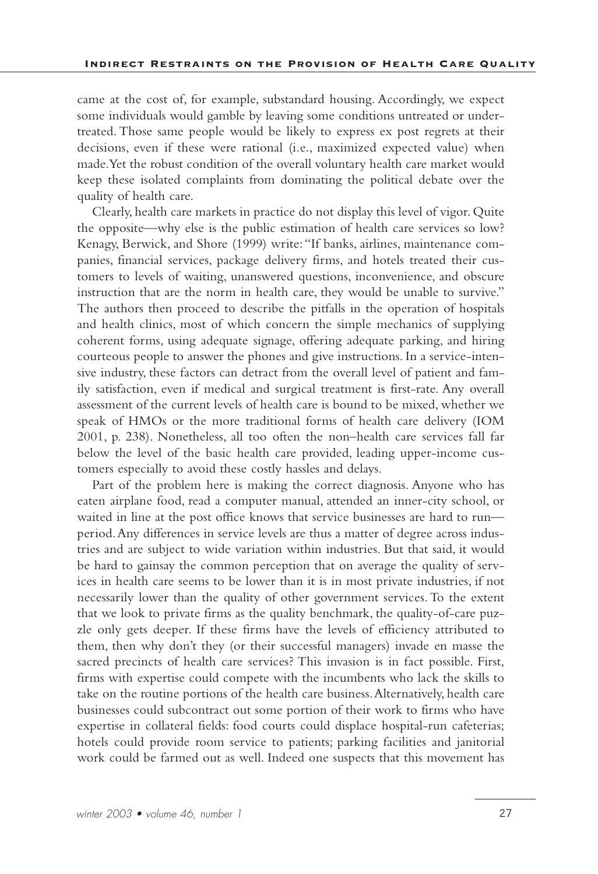came at the cost of, for example, substandard housing. Accordingly, we expect some individuals would gamble by leaving some conditions untreated or undertreated. Those same people would be likely to express ex post regrets at their decisions, even if these were rational (i.e., maximized expected value) when made.Yet the robust condition of the overall voluntary health care market would keep these isolated complaints from dominating the political debate over the quality of health care.

Clearly, health care markets in practice do not display this level of vigor. Quite the opposite—why else is the public estimation of health care services so low? Kenagy, Berwick, and Shore (1999) write:"If banks, airlines, maintenance companies, financial services, package delivery firms, and hotels treated their customers to levels of waiting, unanswered questions, inconvenience, and obscure instruction that are the norm in health care, they would be unable to survive." The authors then proceed to describe the pitfalls in the operation of hospitals and health clinics, most of which concern the simple mechanics of supplying coherent forms, using adequate signage, offering adequate parking, and hiring courteous people to answer the phones and give instructions. In a service-intensive industry, these factors can detract from the overall level of patient and family satisfaction, even if medical and surgical treatment is first-rate. Any overall assessment of the current levels of health care is bound to be mixed, whether we speak of HMOs or the more traditional forms of health care delivery (IOM 2001, p. 238). Nonetheless, all too often the non–health care services fall far below the level of the basic health care provided, leading upper-income customers especially to avoid these costly hassles and delays.

Part of the problem here is making the correct diagnosis. Anyone who has eaten airplane food, read a computer manual, attended an inner-city school, or waited in line at the post office knows that service businesses are hard to run period.Any differences in service levels are thus a matter of degree across industries and are subject to wide variation within industries. But that said, it would be hard to gainsay the common perception that on average the quality of services in health care seems to be lower than it is in most private industries, if not necessarily lower than the quality of other government services. To the extent that we look to private firms as the quality benchmark, the quality-of-care puzzle only gets deeper. If these firms have the levels of efficiency attributed to them, then why don't they (or their successful managers) invade en masse the sacred precincts of health care services? This invasion is in fact possible. First, firms with expertise could compete with the incumbents who lack the skills to take on the routine portions of the health care business.Alternatively, health care businesses could subcontract out some portion of their work to firms who have expertise in collateral fields: food courts could displace hospital-run cafeterias; hotels could provide room service to patients; parking facilities and janitorial work could be farmed out as well. Indeed one suspects that this movement has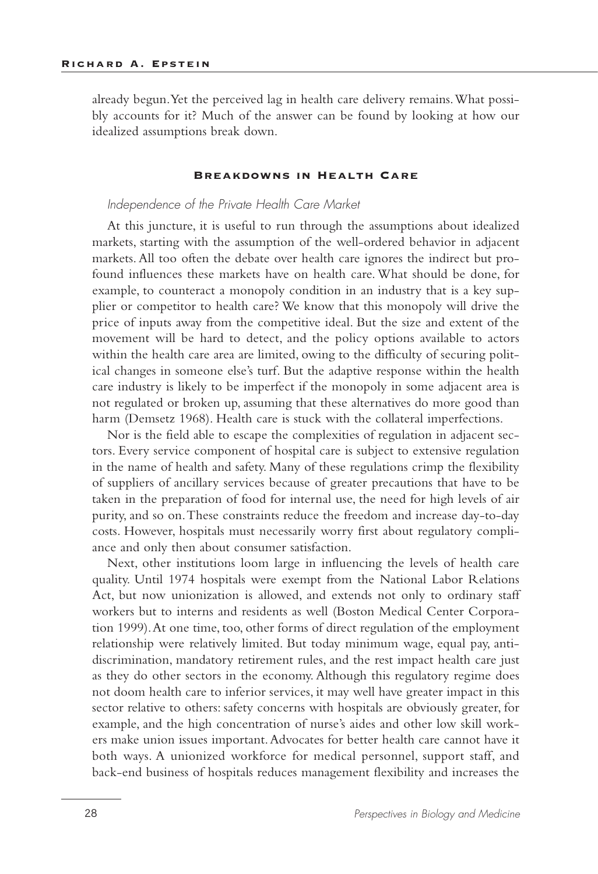already begun.Yet the perceived lag in health care delivery remains.What possibly accounts for it? Much of the answer can be found by looking at how our idealized assumptions break down.

# Breakdowns in Health Care

# *Independence of the Private Health Care Market*

At this juncture, it is useful to run through the assumptions about idealized markets, starting with the assumption of the well-ordered behavior in adjacent markets. All too often the debate over health care ignores the indirect but profound influences these markets have on health care. What should be done, for example, to counteract a monopoly condition in an industry that is a key supplier or competitor to health care? We know that this monopoly will drive the price of inputs away from the competitive ideal. But the size and extent of the movement will be hard to detect, and the policy options available to actors within the health care area are limited, owing to the difficulty of securing political changes in someone else's turf. But the adaptive response within the health care industry is likely to be imperfect if the monopoly in some adjacent area is not regulated or broken up, assuming that these alternatives do more good than harm (Demsetz 1968). Health care is stuck with the collateral imperfections.

Nor is the field able to escape the complexities of regulation in adjacent sectors. Every service component of hospital care is subject to extensive regulation in the name of health and safety. Many of these regulations crimp the flexibility of suppliers of ancillary services because of greater precautions that have to be taken in the preparation of food for internal use, the need for high levels of air purity, and so on.These constraints reduce the freedom and increase day-to-day costs. However, hospitals must necessarily worry first about regulatory compliance and only then about consumer satisfaction.

Next, other institutions loom large in influencing the levels of health care quality. Until 1974 hospitals were exempt from the National Labor Relations Act, but now unionization is allowed, and extends not only to ordinary staff workers but to interns and residents as well (Boston Medical Center Corporation 1999).At one time, too, other forms of direct regulation of the employment relationship were relatively limited. But today minimum wage, equal pay, antidiscrimination, mandatory retirement rules, and the rest impact health care just as they do other sectors in the economy. Although this regulatory regime does not doom health care to inferior services, it may well have greater impact in this sector relative to others: safety concerns with hospitals are obviously greater, for example, and the high concentration of nurse's aides and other low skill workers make union issues important.Advocates for better health care cannot have it both ways. A unionized workforce for medical personnel, support staff, and back-end business of hospitals reduces management flexibility and increases the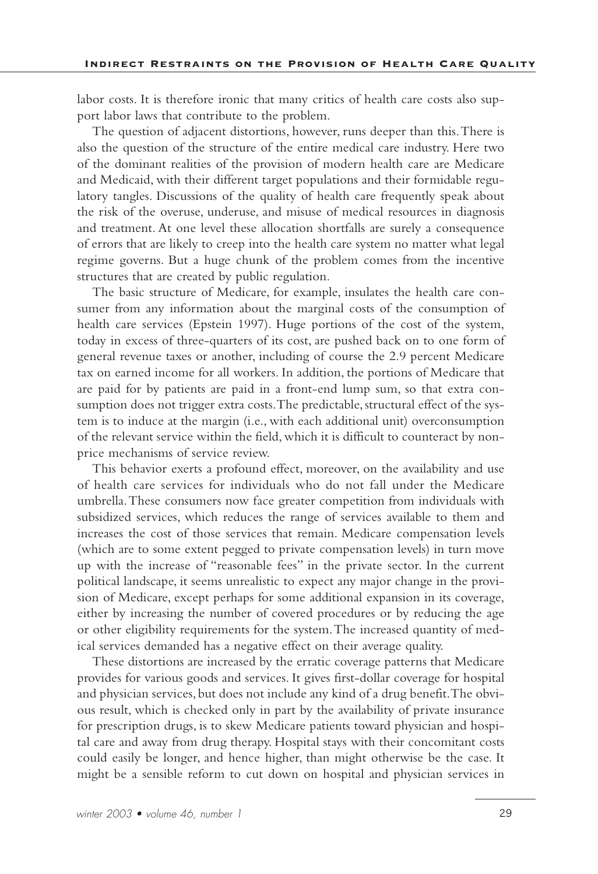labor costs. It is therefore ironic that many critics of health care costs also support labor laws that contribute to the problem.

The question of adjacent distortions, however, runs deeper than this.There is also the question of the structure of the entire medical care industry. Here two of the dominant realities of the provision of modern health care are Medicare and Medicaid, with their different target populations and their formidable regulatory tangles. Discussions of the quality of health care frequently speak about the risk of the overuse, underuse, and misuse of medical resources in diagnosis and treatment. At one level these allocation shortfalls are surely a consequence of errors that are likely to creep into the health care system no matter what legal regime governs. But a huge chunk of the problem comes from the incentive structures that are created by public regulation.

The basic structure of Medicare, for example, insulates the health care consumer from any information about the marginal costs of the consumption of health care services (Epstein 1997). Huge portions of the cost of the system, today in excess of three-quarters of its cost, are pushed back on to one form of general revenue taxes or another, including of course the 2.9 percent Medicare tax on earned income for all workers. In addition, the portions of Medicare that are paid for by patients are paid in a front-end lump sum, so that extra consumption does not trigger extra costs.The predictable, structural effect of the system is to induce at the margin (i.e., with each additional unit) overconsumption of the relevant service within the field, which it is difficult to counteract by nonprice mechanisms of service review.

This behavior exerts a profound effect, moreover, on the availability and use of health care services for individuals who do not fall under the Medicare umbrella.These consumers now face greater competition from individuals with subsidized services, which reduces the range of services available to them and increases the cost of those services that remain. Medicare compensation levels (which are to some extent pegged to private compensation levels) in turn move up with the increase of "reasonable fees" in the private sector. In the current political landscape, it seems unrealistic to expect any major change in the provision of Medicare, except perhaps for some additional expansion in its coverage, either by increasing the number of covered procedures or by reducing the age or other eligibility requirements for the system.The increased quantity of medical services demanded has a negative effect on their average quality.

These distortions are increased by the erratic coverage patterns that Medicare provides for various goods and services. It gives first-dollar coverage for hospital and physician services, but does not include any kind of a drug benefit.The obvious result, which is checked only in part by the availability of private insurance for prescription drugs, is to skew Medicare patients toward physician and hospital care and away from drug therapy. Hospital stays with their concomitant costs could easily be longer, and hence higher, than might otherwise be the case. It might be a sensible reform to cut down on hospital and physician services in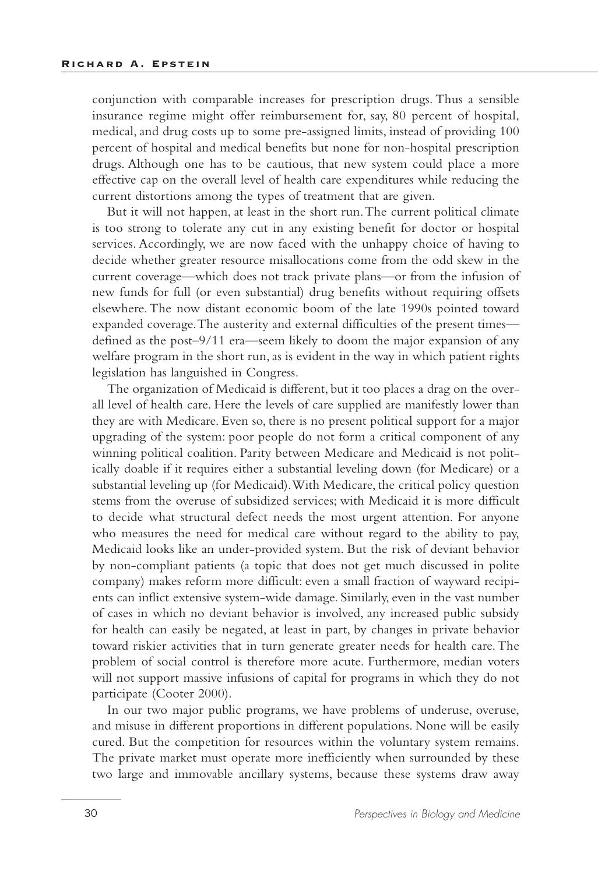conjunction with comparable increases for prescription drugs. Thus a sensible insurance regime might offer reimbursement for, say, 80 percent of hospital, medical, and drug costs up to some pre-assigned limits, instead of providing 100 percent of hospital and medical benefits but none for non-hospital prescription drugs. Although one has to be cautious, that new system could place a more effective cap on the overall level of health care expenditures while reducing the current distortions among the types of treatment that are given.

But it will not happen, at least in the short run.The current political climate is too strong to tolerate any cut in any existing benefit for doctor or hospital services. Accordingly, we are now faced with the unhappy choice of having to decide whether greater resource misallocations come from the odd skew in the current coverage—which does not track private plans—or from the infusion of new funds for full (or even substantial) drug benefits without requiring offsets elsewhere. The now distant economic boom of the late 1990s pointed toward expanded coverage.The austerity and external difficulties of the present times defined as the post–9/11 era—seem likely to doom the major expansion of any welfare program in the short run, as is evident in the way in which patient rights legislation has languished in Congress.

The organization of Medicaid is different, but it too places a drag on the overall level of health care. Here the levels of care supplied are manifestly lower than they are with Medicare. Even so, there is no present political support for a major upgrading of the system: poor people do not form a critical component of any winning political coalition. Parity between Medicare and Medicaid is not politically doable if it requires either a substantial leveling down (for Medicare) or a substantial leveling up (for Medicaid).With Medicare, the critical policy question stems from the overuse of subsidized services; with Medicaid it is more difficult to decide what structural defect needs the most urgent attention. For anyone who measures the need for medical care without regard to the ability to pay, Medicaid looks like an under-provided system. But the risk of deviant behavior by non-compliant patients (a topic that does not get much discussed in polite company) makes reform more difficult: even a small fraction of wayward recipients can inflict extensive system-wide damage. Similarly, even in the vast number of cases in which no deviant behavior is involved, any increased public subsidy for health can easily be negated, at least in part, by changes in private behavior toward riskier activities that in turn generate greater needs for health care.The problem of social control is therefore more acute. Furthermore, median voters will not support massive infusions of capital for programs in which they do not participate (Cooter 2000).

In our two major public programs, we have problems of underuse, overuse, and misuse in different proportions in different populations. None will be easily cured. But the competition for resources within the voluntary system remains. The private market must operate more inefficiently when surrounded by these two large and immovable ancillary systems, because these systems draw away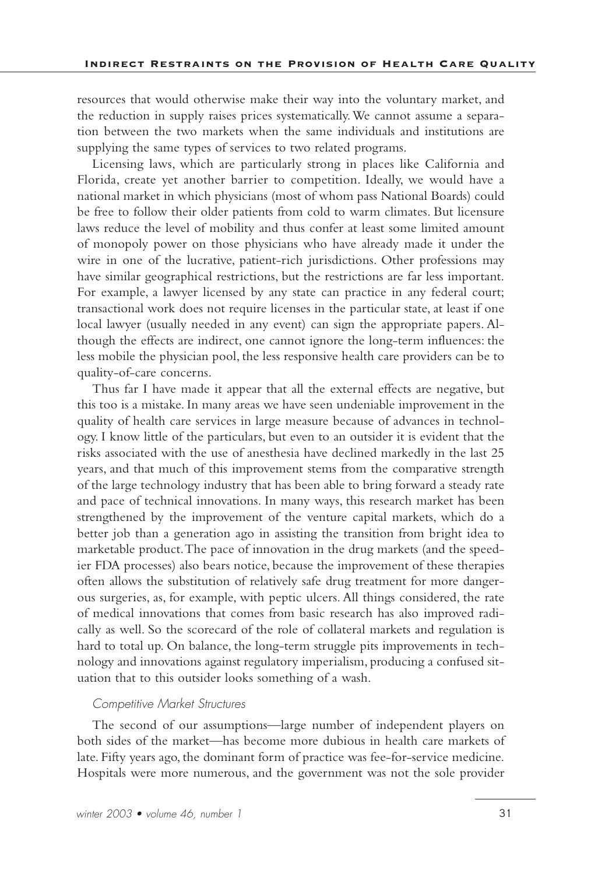resources that would otherwise make their way into the voluntary market, and the reduction in supply raises prices systematically.We cannot assume a separation between the two markets when the same individuals and institutions are supplying the same types of services to two related programs.

Licensing laws, which are particularly strong in places like California and Florida, create yet another barrier to competition. Ideally, we would have a national market in which physicians (most of whom pass National Boards) could be free to follow their older patients from cold to warm climates. But licensure laws reduce the level of mobility and thus confer at least some limited amount of monopoly power on those physicians who have already made it under the wire in one of the lucrative, patient-rich jurisdictions. Other professions may have similar geographical restrictions, but the restrictions are far less important. For example, a lawyer licensed by any state can practice in any federal court; transactional work does not require licenses in the particular state, at least if one local lawyer (usually needed in any event) can sign the appropriate papers. Although the effects are indirect, one cannot ignore the long-term influences: the less mobile the physician pool, the less responsive health care providers can be to quality-of-care concerns.

Thus far I have made it appear that all the external effects are negative, but this too is a mistake. In many areas we have seen undeniable improvement in the quality of health care services in large measure because of advances in technology. I know little of the particulars, but even to an outsider it is evident that the risks associated with the use of anesthesia have declined markedly in the last 25 years, and that much of this improvement stems from the comparative strength of the large technology industry that has been able to bring forward a steady rate and pace of technical innovations. In many ways, this research market has been strengthened by the improvement of the venture capital markets, which do a better job than a generation ago in assisting the transition from bright idea to marketable product.The pace of innovation in the drug markets (and the speedier FDA processes) also bears notice, because the improvement of these therapies often allows the substitution of relatively safe drug treatment for more dangerous surgeries, as, for example, with peptic ulcers. All things considered, the rate of medical innovations that comes from basic research has also improved radically as well. So the scorecard of the role of collateral markets and regulation is hard to total up. On balance, the long-term struggle pits improvements in technology and innovations against regulatory imperialism, producing a confused situation that to this outsider looks something of a wash.

## *Competitive Market Structures*

The second of our assumptions—large number of independent players on both sides of the market—has become more dubious in health care markets of late. Fifty years ago, the dominant form of practice was fee-for-service medicine. Hospitals were more numerous, and the government was not the sole provider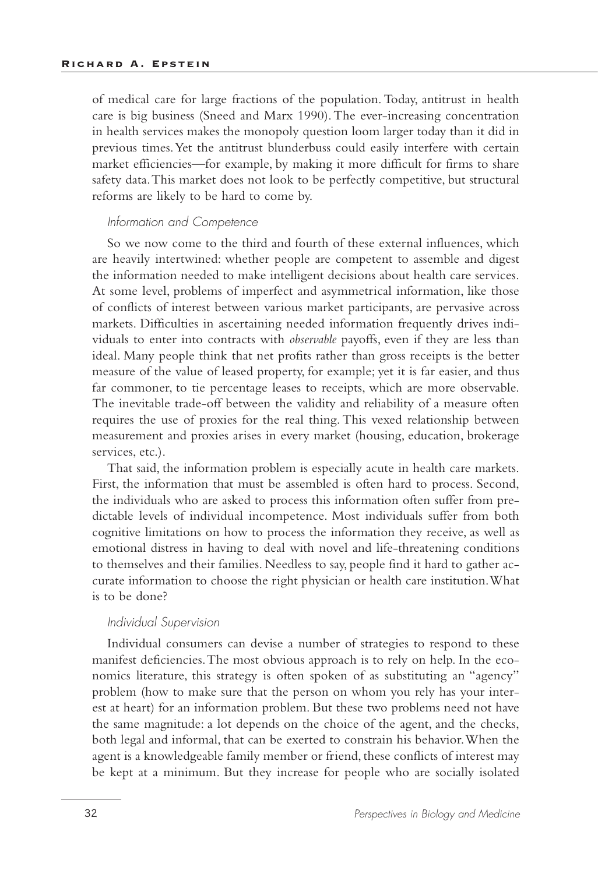of medical care for large fractions of the population. Today, antitrust in health care is big business (Sneed and Marx 1990).The ever-increasing concentration in health services makes the monopoly question loom larger today than it did in previous times.Yet the antitrust blunderbuss could easily interfere with certain market efficiencies—for example, by making it more difficult for firms to share safety data.This market does not look to be perfectly competitive, but structural reforms are likely to be hard to come by.

# *Information and Competence*

So we now come to the third and fourth of these external influences, which are heavily intertwined: whether people are competent to assemble and digest the information needed to make intelligent decisions about health care services. At some level, problems of imperfect and asymmetrical information, like those of conflicts of interest between various market participants, are pervasive across markets. Difficulties in ascertaining needed information frequently drives individuals to enter into contracts with *observable* payoffs, even if they are less than ideal. Many people think that net profits rather than gross receipts is the better measure of the value of leased property, for example; yet it is far easier, and thus far commoner, to tie percentage leases to receipts, which are more observable. The inevitable trade-off between the validity and reliability of a measure often requires the use of proxies for the real thing. This vexed relationship between measurement and proxies arises in every market (housing, education, brokerage services, etc.).

That said, the information problem is especially acute in health care markets. First, the information that must be assembled is often hard to process. Second, the individuals who are asked to process this information often suffer from predictable levels of individual incompetence. Most individuals suffer from both cognitive limitations on how to process the information they receive, as well as emotional distress in having to deal with novel and life-threatening conditions to themselves and their families. Needless to say, people find it hard to gather accurate information to choose the right physician or health care institution.What is to be done?

# *Individual Supervision*

Individual consumers can devise a number of strategies to respond to these manifest deficiencies.The most obvious approach is to rely on help. In the economics literature, this strategy is often spoken of as substituting an "agency" problem (how to make sure that the person on whom you rely has your interest at heart) for an information problem. But these two problems need not have the same magnitude: a lot depends on the choice of the agent, and the checks, both legal and informal, that can be exerted to constrain his behavior.When the agent is a knowledgeable family member or friend, these conflicts of interest may be kept at a minimum. But they increase for people who are socially isolated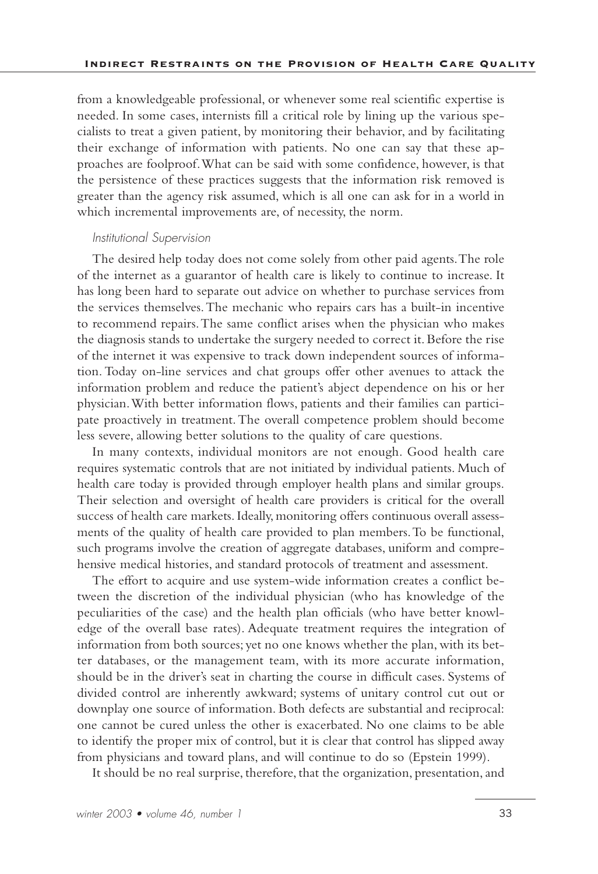from a knowledgeable professional, or whenever some real scientific expertise is needed. In some cases, internists fill a critical role by lining up the various specialists to treat a given patient, by monitoring their behavior, and by facilitating their exchange of information with patients. No one can say that these approaches are foolproof.What can be said with some confidence, however, is that the persistence of these practices suggests that the information risk removed is greater than the agency risk assumed, which is all one can ask for in a world in which incremental improvements are, of necessity, the norm.

# *Institutional Supervision*

The desired help today does not come solely from other paid agents.The role of the internet as a guarantor of health care is likely to continue to increase. It has long been hard to separate out advice on whether to purchase services from the services themselves.The mechanic who repairs cars has a built-in incentive to recommend repairs.The same conflict arises when the physician who makes the diagnosis stands to undertake the surgery needed to correct it. Before the rise of the internet it was expensive to track down independent sources of information. Today on-line services and chat groups offer other avenues to attack the information problem and reduce the patient's abject dependence on his or her physician.With better information flows, patients and their families can participate proactively in treatment.The overall competence problem should become less severe, allowing better solutions to the quality of care questions.

In many contexts, individual monitors are not enough. Good health care requires systematic controls that are not initiated by individual patients. Much of health care today is provided through employer health plans and similar groups. Their selection and oversight of health care providers is critical for the overall success of health care markets. Ideally, monitoring offers continuous overall assessments of the quality of health care provided to plan members.To be functional, such programs involve the creation of aggregate databases, uniform and comprehensive medical histories, and standard protocols of treatment and assessment.

The effort to acquire and use system-wide information creates a conflict between the discretion of the individual physician (who has knowledge of the peculiarities of the case) and the health plan officials (who have better knowledge of the overall base rates). Adequate treatment requires the integration of information from both sources; yet no one knows whether the plan, with its better databases, or the management team, with its more accurate information, should be in the driver's seat in charting the course in difficult cases. Systems of divided control are inherently awkward; systems of unitary control cut out or downplay one source of information. Both defects are substantial and reciprocal: one cannot be cured unless the other is exacerbated. No one claims to be able to identify the proper mix of control, but it is clear that control has slipped away from physicians and toward plans, and will continue to do so (Epstein 1999).

It should be no real surprise, therefore, that the organization, presentation, and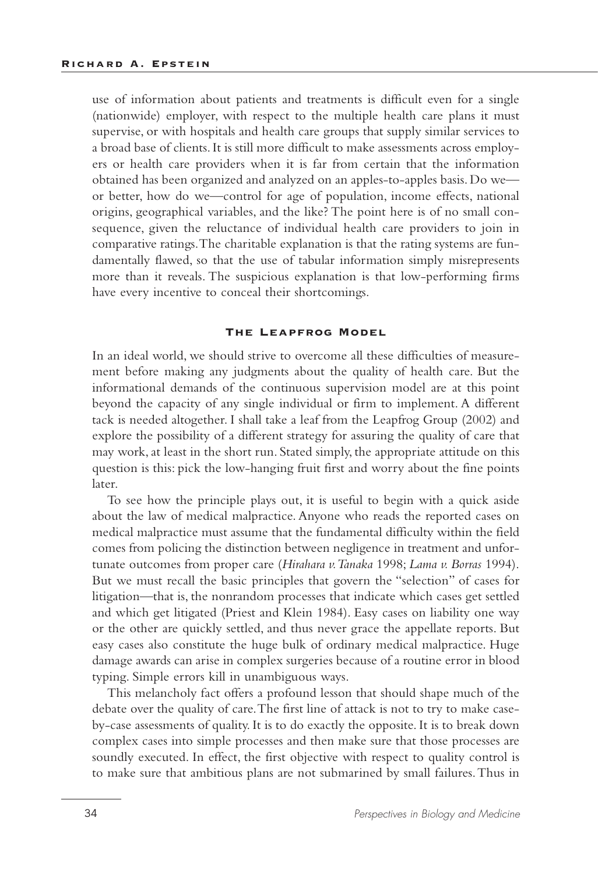use of information about patients and treatments is difficult even for a single (nationwide) employer, with respect to the multiple health care plans it must supervise, or with hospitals and health care groups that supply similar services to a broad base of clients. It is still more difficult to make assessments across employers or health care providers when it is far from certain that the information obtained has been organized and analyzed on an apples-to-apples basis. Do we or better, how do we—control for age of population, income effects, national origins, geographical variables, and the like? The point here is of no small consequence, given the reluctance of individual health care providers to join in comparative ratings.The charitable explanation is that the rating systems are fundamentally flawed, so that the use of tabular information simply misrepresents more than it reveals. The suspicious explanation is that low-performing firms have every incentive to conceal their shortcomings.

### The Leapfrog Model

In an ideal world, we should strive to overcome all these difficulties of measurement before making any judgments about the quality of health care. But the informational demands of the continuous supervision model are at this point beyond the capacity of any single individual or firm to implement. A different tack is needed altogether. I shall take a leaf from the Leapfrog Group (2002) and explore the possibility of a different strategy for assuring the quality of care that may work, at least in the short run. Stated simply, the appropriate attitude on this question is this: pick the low-hanging fruit first and worry about the fine points later.

To see how the principle plays out, it is useful to begin with a quick aside about the law of medical malpractice. Anyone who reads the reported cases on medical malpractice must assume that the fundamental difficulty within the field comes from policing the distinction between negligence in treatment and unfortunate outcomes from proper care (*Hirahara v.Tanaka* 1998; *Lama v. Borras* 1994). But we must recall the basic principles that govern the "selection" of cases for litigation—that is, the nonrandom processes that indicate which cases get settled and which get litigated (Priest and Klein 1984). Easy cases on liability one way or the other are quickly settled, and thus never grace the appellate reports. But easy cases also constitute the huge bulk of ordinary medical malpractice. Huge damage awards can arise in complex surgeries because of a routine error in blood typing. Simple errors kill in unambiguous ways.

This melancholy fact offers a profound lesson that should shape much of the debate over the quality of care.The first line of attack is not to try to make caseby-case assessments of quality. It is to do exactly the opposite. It is to break down complex cases into simple processes and then make sure that those processes are soundly executed. In effect, the first objective with respect to quality control is to make sure that ambitious plans are not submarined by small failures.Thus in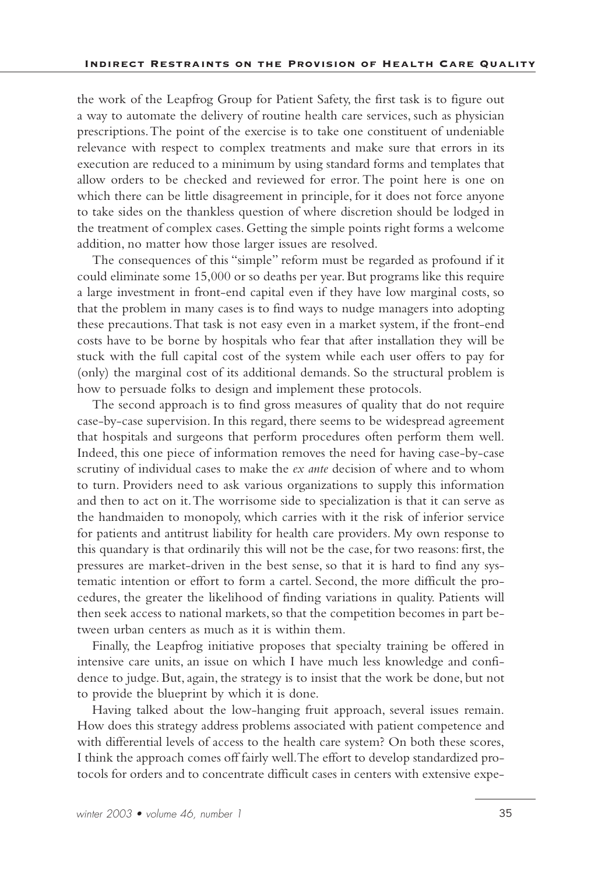the work of the Leapfrog Group for Patient Safety, the first task is to figure out a way to automate the delivery of routine health care services, such as physician prescriptions.The point of the exercise is to take one constituent of undeniable relevance with respect to complex treatments and make sure that errors in its execution are reduced to a minimum by using standard forms and templates that allow orders to be checked and reviewed for error. The point here is one on which there can be little disagreement in principle, for it does not force anyone to take sides on the thankless question of where discretion should be lodged in the treatment of complex cases. Getting the simple points right forms a welcome addition, no matter how those larger issues are resolved.

The consequences of this "simple" reform must be regarded as profound if it could eliminate some 15,000 or so deaths per year. But programs like this require a large investment in front-end capital even if they have low marginal costs, so that the problem in many cases is to find ways to nudge managers into adopting these precautions.That task is not easy even in a market system, if the front-end costs have to be borne by hospitals who fear that after installation they will be stuck with the full capital cost of the system while each user offers to pay for (only) the marginal cost of its additional demands. So the structural problem is how to persuade folks to design and implement these protocols.

The second approach is to find gross measures of quality that do not require case-by-case supervision. In this regard, there seems to be widespread agreement that hospitals and surgeons that perform procedures often perform them well. Indeed, this one piece of information removes the need for having case-by-case scrutiny of individual cases to make the *ex ante* decision of where and to whom to turn. Providers need to ask various organizations to supply this information and then to act on it.The worrisome side to specialization is that it can serve as the handmaiden to monopoly, which carries with it the risk of inferior service for patients and antitrust liability for health care providers. My own response to this quandary is that ordinarily this will not be the case, for two reasons: first, the pressures are market-driven in the best sense, so that it is hard to find any systematic intention or effort to form a cartel. Second, the more difficult the procedures, the greater the likelihood of finding variations in quality. Patients will then seek access to national markets, so that the competition becomes in part between urban centers as much as it is within them.

Finally, the Leapfrog initiative proposes that specialty training be offered in intensive care units, an issue on which I have much less knowledge and confidence to judge. But, again, the strategy is to insist that the work be done, but not to provide the blueprint by which it is done.

Having talked about the low-hanging fruit approach, several issues remain. How does this strategy address problems associated with patient competence and with differential levels of access to the health care system? On both these scores, I think the approach comes off fairly well.The effort to develop standardized protocols for orders and to concentrate difficult cases in centers with extensive expe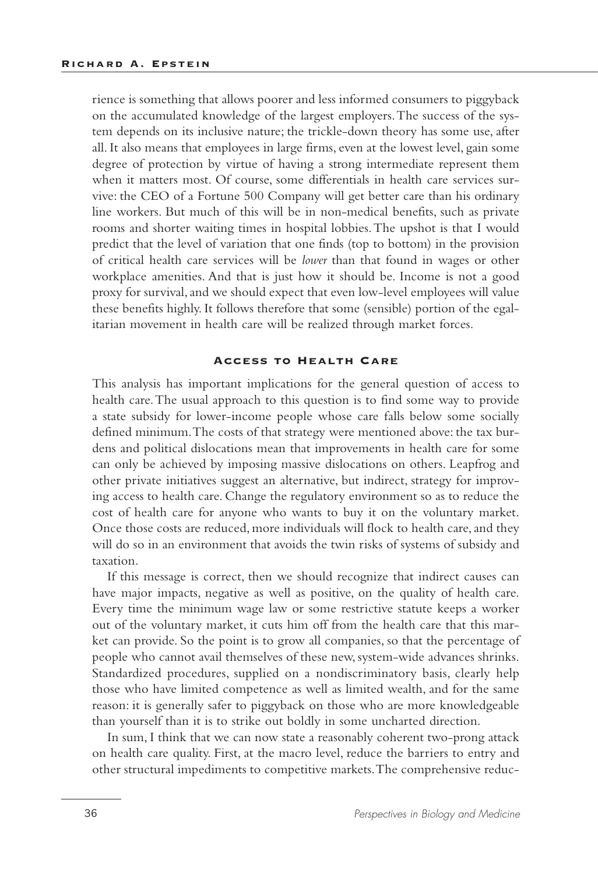rience is something that allows poorer and less informed consumers to piggyback on the accumulated knowledge of the largest employers.The success of the system depends on its inclusive nature; the trickle-down theory has some use, after all. It also means that employees in large firms, even at the lowest level, gain some degree of protection by virtue of having a strong intermediate represent them when it matters most. Of course, some differentials in health care services survive: the CEO of a Fortune 500 Company will get better care than his ordinary line workers. But much of this will be in non-medical benefits, such as private rooms and shorter waiting times in hospital lobbies.The upshot is that I would predict that the level of variation that one finds (top to bottom) in the provision of critical health care services will be *lower* than that found in wages or other workplace amenities. And that is just how it should be. Income is not a good proxy for survival, and we should expect that even low-level employees will value these benefits highly. It follows therefore that some (sensible) portion of the egalitarian movement in health care will be realized through market forces.

# Access to Health Care

This analysis has important implications for the general question of access to health care.The usual approach to this question is to find some way to provide a state subsidy for lower-income people whose care falls below some socially defined minimum.The costs of that strategy were mentioned above: the tax burdens and political dislocations mean that improvements in health care for some can only be achieved by imposing massive dislocations on others. Leapfrog and other private initiatives suggest an alternative, but indirect, strategy for improving access to health care. Change the regulatory environment so as to reduce the cost of health care for anyone who wants to buy it on the voluntary market. Once those costs are reduced, more individuals will flock to health care, and they will do so in an environment that avoids the twin risks of systems of subsidy and taxation.

If this message is correct, then we should recognize that indirect causes can have major impacts, negative as well as positive, on the quality of health care. Every time the minimum wage law or some restrictive statute keeps a worker out of the voluntary market, it cuts him off from the health care that this market can provide. So the point is to grow all companies, so that the percentage of people who cannot avail themselves of these new, system-wide advances shrinks. Standardized procedures, supplied on a nondiscriminatory basis, clearly help those who have limited competence as well as limited wealth, and for the same reason: it is generally safer to piggyback on those who are more knowledgeable than yourself than it is to strike out boldly in some uncharted direction.

In sum, I think that we can now state a reasonably coherent two-prong attack on health care quality. First, at the macro level, reduce the barriers to entry and other structural impediments to competitive markets.The comprehensive reduc-